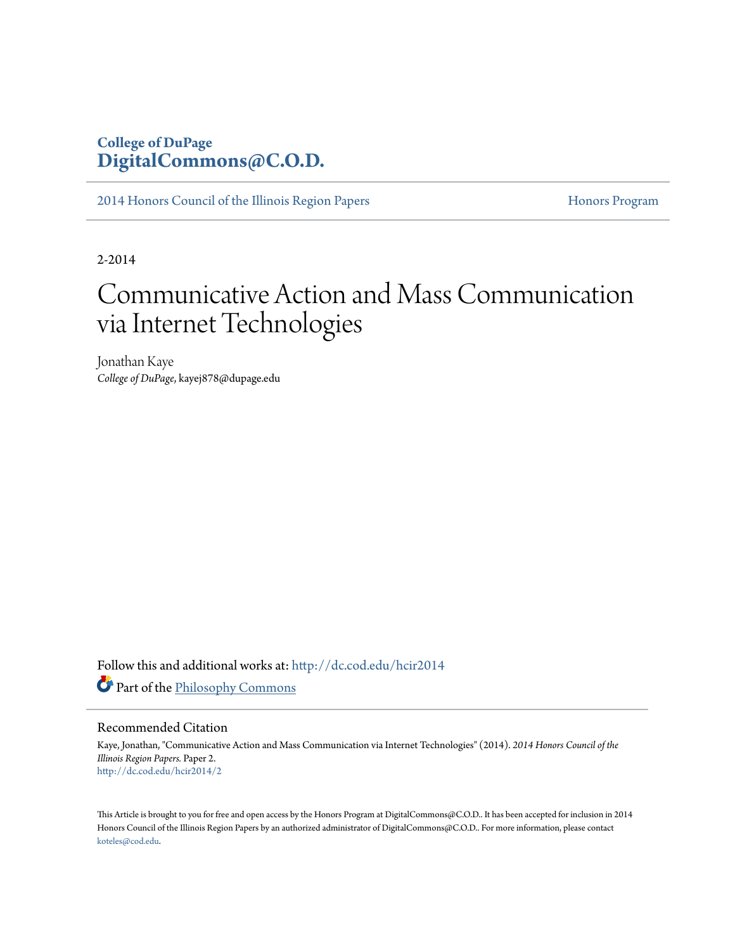## **College of DuPage [DigitalCommons@C.O.D.](http://dc.cod.edu?utm_source=dc.cod.edu%2Fhcir2014%2F2&utm_medium=PDF&utm_campaign=PDFCoverPages)**

[2014 Honors Council of the Illinois Region Papers](http://dc.cod.edu/hcir2014?utm_source=dc.cod.edu%2Fhcir2014%2F2&utm_medium=PDF&utm_campaign=PDFCoverPages) [Honors Program](http://dc.cod.edu/honors?utm_source=dc.cod.edu%2Fhcir2014%2F2&utm_medium=PDF&utm_campaign=PDFCoverPages) Honors Program

2-2014

# Communicative Action and Mass Communication via Internet Technologies

Jonathan Kaye *College of DuPage*, kayej878@dupage.edu

Follow this and additional works at: [http://dc.cod.edu/hcir2014](http://dc.cod.edu/hcir2014?utm_source=dc.cod.edu%2Fhcir2014%2F2&utm_medium=PDF&utm_campaign=PDFCoverPages) Part of the [Philosophy Commons](http://network.bepress.com/hgg/discipline/525?utm_source=dc.cod.edu%2Fhcir2014%2F2&utm_medium=PDF&utm_campaign=PDFCoverPages)

#### Recommended Citation

Kaye, Jonathan, "Communicative Action and Mass Communication via Internet Technologies" (2014). *2014 Honors Council of the Illinois Region Papers.* Paper 2. [http://dc.cod.edu/hcir2014/2](http://dc.cod.edu/hcir2014/2?utm_source=dc.cod.edu%2Fhcir2014%2F2&utm_medium=PDF&utm_campaign=PDFCoverPages)

This Article is brought to you for free and open access by the Honors Program at DigitalCommons@C.O.D.. It has been accepted for inclusion in 2014 Honors Council of the Illinois Region Papers by an authorized administrator of DigitalCommons@C.O.D.. For more information, please contact [koteles@cod.edu](mailto:koteles@cod.edu).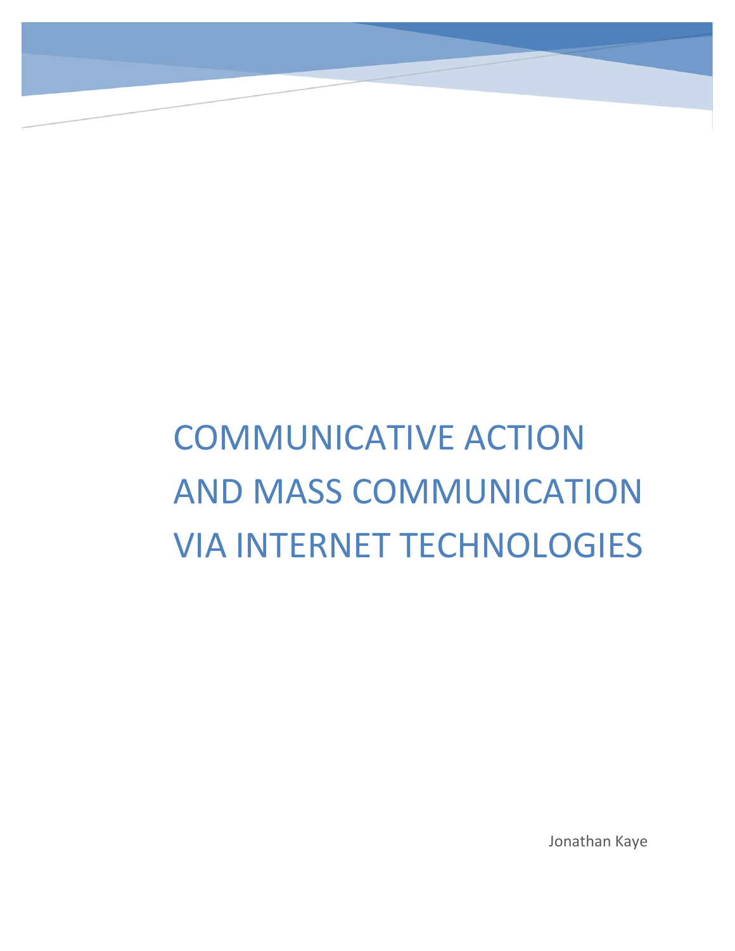# COMMUNICATIVE ACTION AND MASS COMMUNICATION VIA INTERNET TECHNOLOGIES

Jonathan Kaye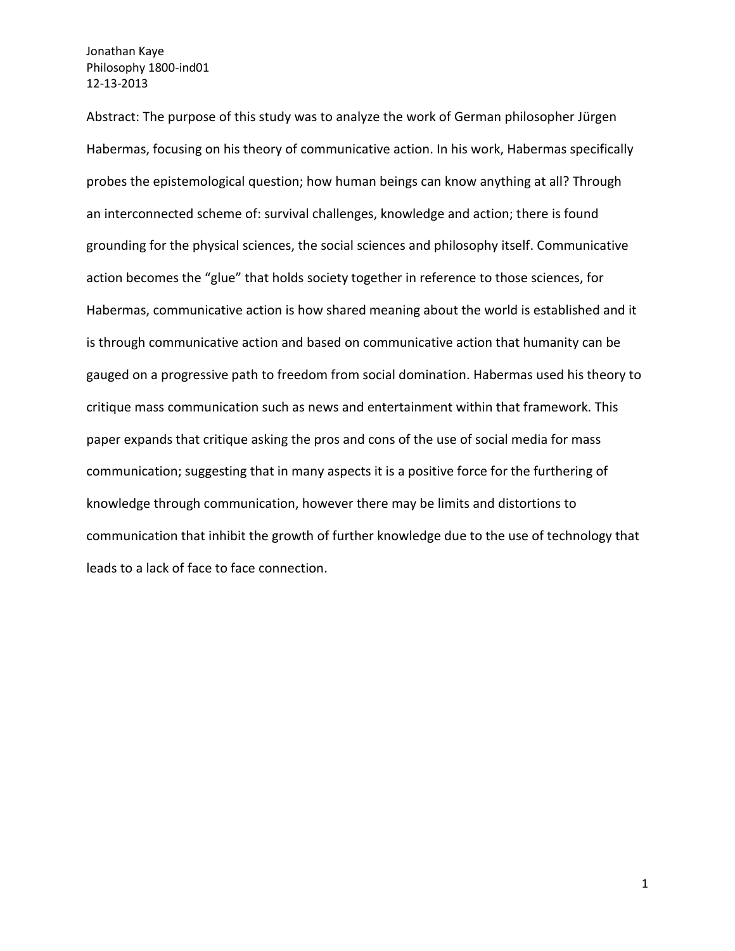Abstract: The purpose of this study was to analyze the work of German philosopher Jürgen Habermas, focusing on his theory of communicative action. In his work, Habermas specifically probes the epistemological question; how human beings can know anything at all? Through an interconnected scheme of: survival challenges, knowledge and action; there is found grounding for the physical sciences, the social sciences and philosophy itself. Communicative action becomes the "glue" that holds society together in reference to those sciences, for Habermas, communicative action is how shared meaning about the world is established and it is through communicative action and based on communicative action that humanity can be gauged on a progressive path to freedom from social domination. Habermas used his theory to critique mass communication such as news and entertainment within that framework. This paper expands that critique asking the pros and cons of the use of social media for mass communication; suggesting that in many aspects it is a positive force for the furthering of knowledge through communication, however there may be limits and distortions to communication that inhibit the growth of further knowledge due to the use of technology that leads to a lack of face to face connection.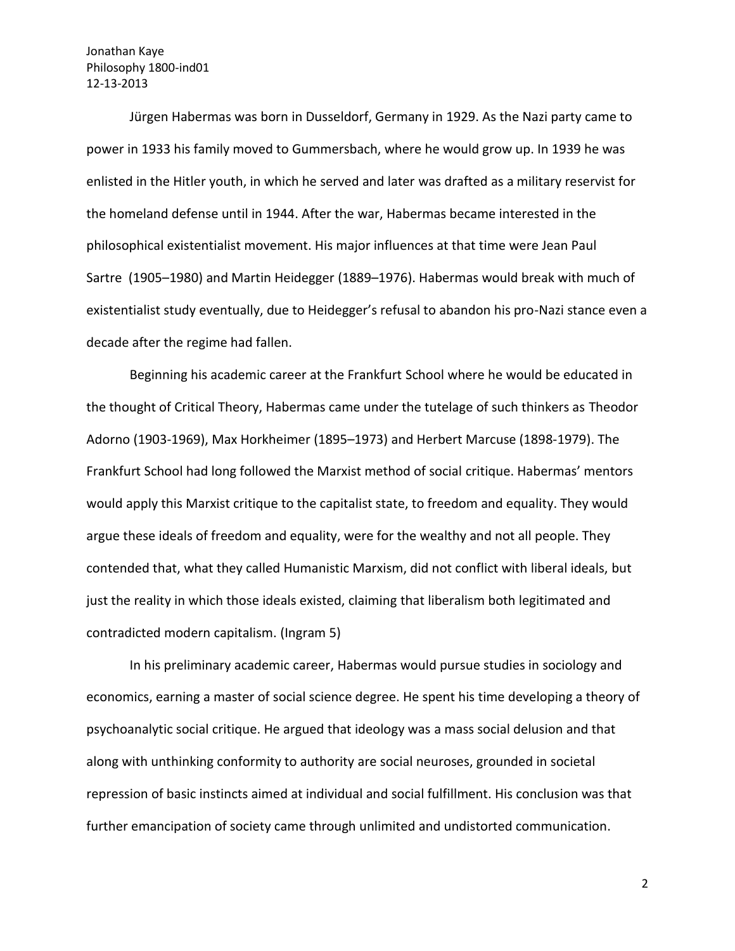Jürgen Habermas was born in Dusseldorf, Germany in 1929. As the Nazi party came to power in 1933 his family moved to Gummersbach, where he would grow up. In 1939 he was enlisted in the Hitler youth, in which he served and later was drafted as a military reservist for the homeland defense until in 1944. After the war, Habermas became interested in the philosophical existentialist movement. His major influences at that time were Jean Paul Sartre (1905–1980) and Martin Heidegger (1889–1976). Habermas would break with much of existentialist study eventually, due to Heidegger's refusal to abandon his pro-Nazi stance even a decade after the regime had fallen.

Beginning his academic career at the Frankfurt School where he would be educated in the thought of Critical Theory, Habermas came under the tutelage of such thinkers as Theodor Adorno (1903-1969), Max Horkheimer (1895–1973) and Herbert Marcuse (1898-1979). The Frankfurt School had long followed the Marxist method of social critique. Habermas' mentors would apply this Marxist critique to the capitalist state, to freedom and equality. They would argue these ideals of freedom and equality, were for the wealthy and not all people. They contended that, what they called Humanistic Marxism, did not conflict with liberal ideals, but just the reality in which those ideals existed, claiming that liberalism both legitimated and contradicted modern capitalism. (Ingram 5)

In his preliminary academic career, Habermas would pursue studies in sociology and economics, earning a master of social science degree. He spent his time developing a theory of psychoanalytic social critique. He argued that ideology was a mass social delusion and that along with unthinking conformity to authority are social neuroses, grounded in societal repression of basic instincts aimed at individual and social fulfillment. His conclusion was that further emancipation of society came through unlimited and undistorted communication.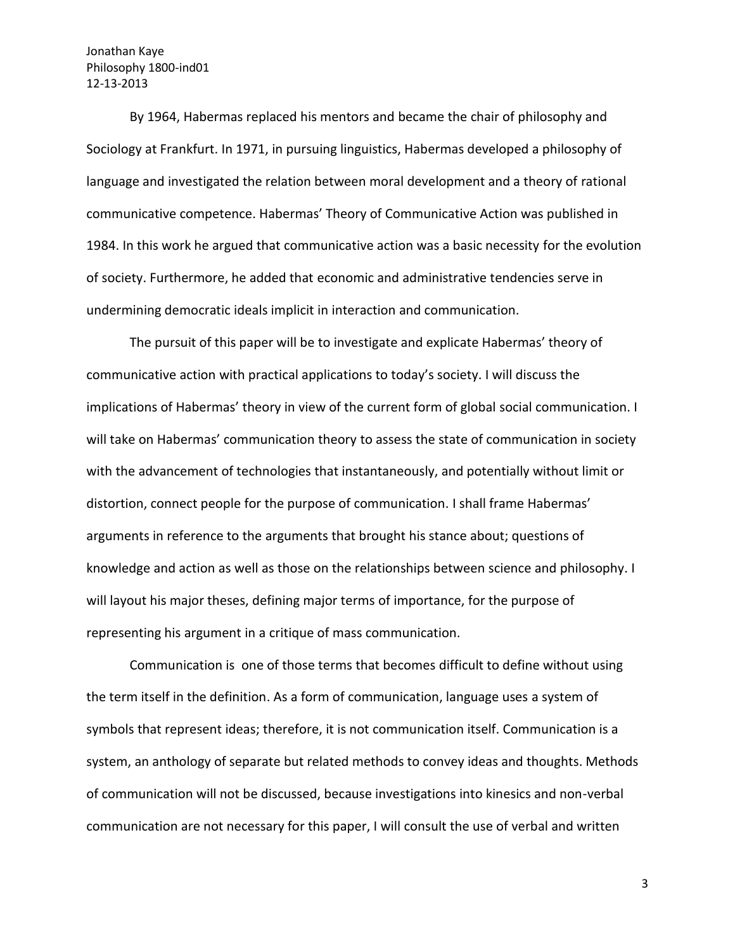By 1964, Habermas replaced his mentors and became the chair of philosophy and Sociology at Frankfurt. In 1971, in pursuing linguistics, Habermas developed a philosophy of language and investigated the relation between moral development and a theory of rational communicative competence. Habermas' Theory of Communicative Action was published in 1984. In this work he argued that communicative action was a basic necessity for the evolution of society. Furthermore, he added that economic and administrative tendencies serve in undermining democratic ideals implicit in interaction and communication.

The pursuit of this paper will be to investigate and explicate Habermas' theory of communicative action with practical applications to today's society. I will discuss the implications of Habermas' theory in view of the current form of global social communication. I will take on Habermas' communication theory to assess the state of communication in society with the advancement of technologies that instantaneously, and potentially without limit or distortion, connect people for the purpose of communication. I shall frame Habermas' arguments in reference to the arguments that brought his stance about; questions of knowledge and action as well as those on the relationships between science and philosophy. I will layout his major theses, defining major terms of importance, for the purpose of representing his argument in a critique of mass communication.

Communication is one of those terms that becomes difficult to define without using the term itself in the definition. As a form of communication, language uses a system of symbols that represent ideas; therefore, it is not communication itself. Communication is a system, an anthology of separate but related methods to convey ideas and thoughts. Methods of communication will not be discussed, because investigations into kinesics and non-verbal communication are not necessary for this paper, I will consult the use of verbal and written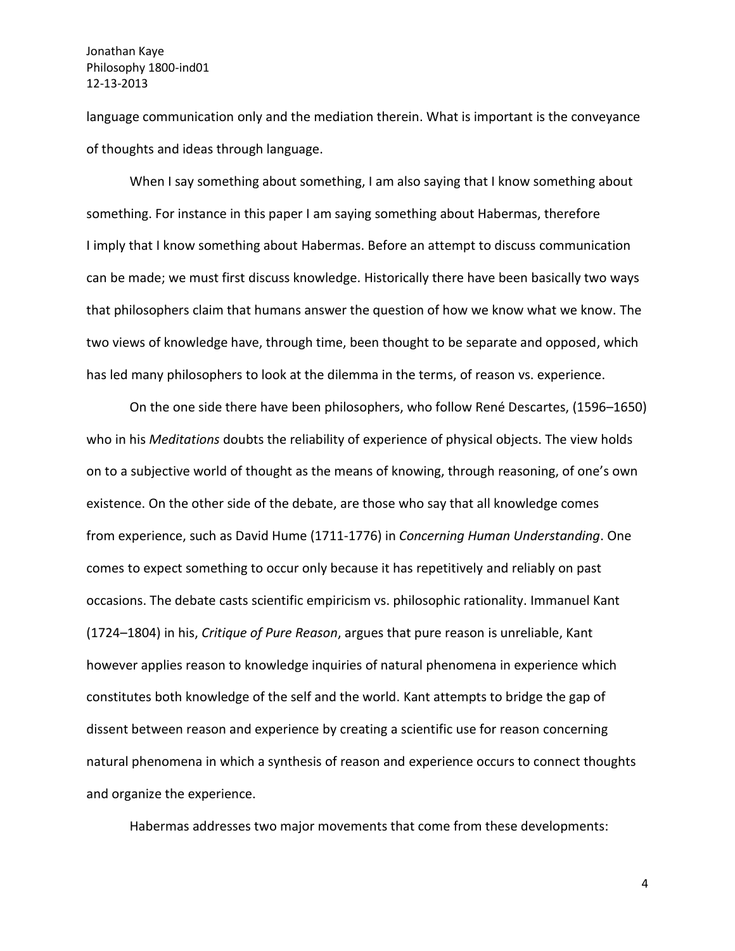language communication only and the mediation therein. What is important is the conveyance of thoughts and ideas through language.

When I say something about something, I am also saying that I know something about something. For instance in this paper I am saying something about Habermas, therefore I imply that I know something about Habermas. Before an attempt to discuss communication can be made; we must first discuss knowledge. Historically there have been basically two ways that philosophers claim that humans answer the question of how we know what we know. The two views of knowledge have, through time, been thought to be separate and opposed, which has led many philosophers to look at the dilemma in the terms, of reason vs. experience.

On the one side there have been philosophers, who follow René Descartes, (1596–1650) who in his *Meditations* doubts the reliability of experience of physical objects. The view holds on to a subjective world of thought as the means of knowing, through reasoning, of one's own existence. On the other side of the debate, are those who say that all knowledge comes from experience, such as David Hume (1711-1776) in *Concerning Human Understanding*. One comes to expect something to occur only because it has repetitively and reliably on past occasions. The debate casts scientific empiricism vs. philosophic rationality. Immanuel Kant (1724–1804) in his, *Critique of Pure Reason*, argues that pure reason is unreliable, Kant however applies reason to knowledge inquiries of natural phenomena in experience which constitutes both knowledge of the self and the world. Kant attempts to bridge the gap of dissent between reason and experience by creating a scientific use for reason concerning natural phenomena in which a synthesis of reason and experience occurs to connect thoughts and organize the experience.

Habermas addresses two major movements that come from these developments: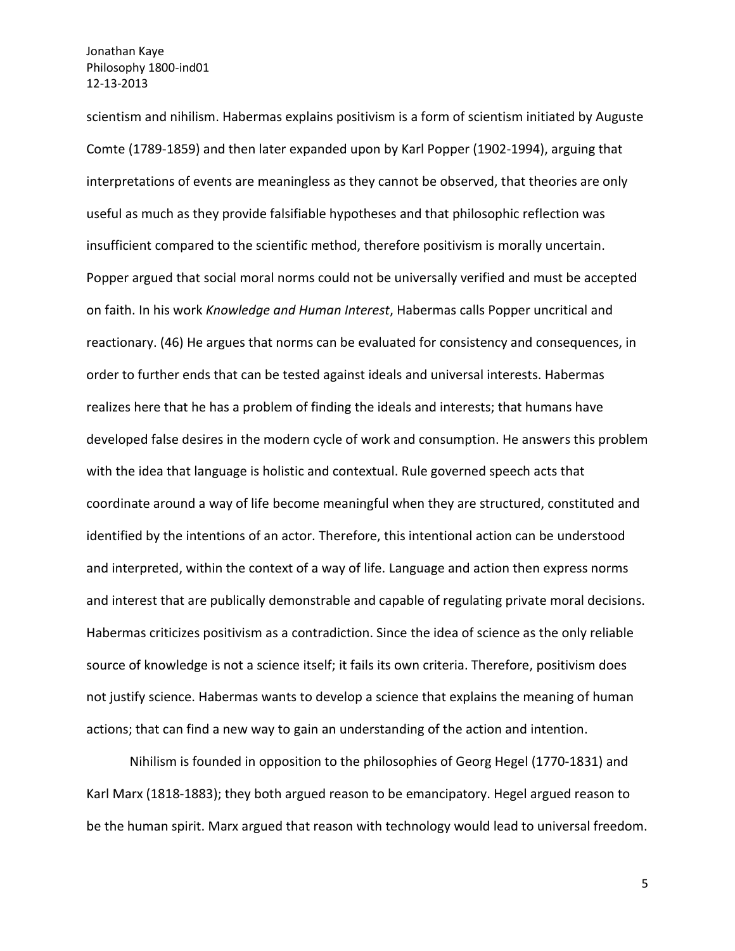scientism and nihilism. Habermas explains positivism is a form of scientism initiated by Auguste Comte (1789-1859) and then later expanded upon by Karl Popper (1902-1994), arguing that interpretations of events are meaningless as they cannot be observed, that theories are only useful as much as they provide falsifiable hypotheses and that philosophic reflection was insufficient compared to the scientific method, therefore positivism is morally uncertain. Popper argued that social moral norms could not be universally verified and must be accepted on faith. In his work *Knowledge and Human Interest*, Habermas calls Popper uncritical and reactionary. (46) He argues that norms can be evaluated for consistency and consequences, in order to further ends that can be tested against ideals and universal interests. Habermas realizes here that he has a problem of finding the ideals and interests; that humans have developed false desires in the modern cycle of work and consumption. He answers this problem with the idea that language is holistic and contextual. Rule governed speech acts that coordinate around a way of life become meaningful when they are structured, constituted and identified by the intentions of an actor. Therefore, this intentional action can be understood and interpreted, within the context of a way of life. Language and action then express norms and interest that are publically demonstrable and capable of regulating private moral decisions. Habermas criticizes positivism as a contradiction. Since the idea of science as the only reliable source of knowledge is not a science itself; it fails its own criteria. Therefore, positivism does not justify science. Habermas wants to develop a science that explains the meaning of human actions; that can find a new way to gain an understanding of the action and intention.

Nihilism is founded in opposition to the philosophies of Georg Hegel (1770-1831) and Karl Marx (1818-1883); they both argued reason to be emancipatory. Hegel argued reason to be the human spirit. Marx argued that reason with technology would lead to universal freedom.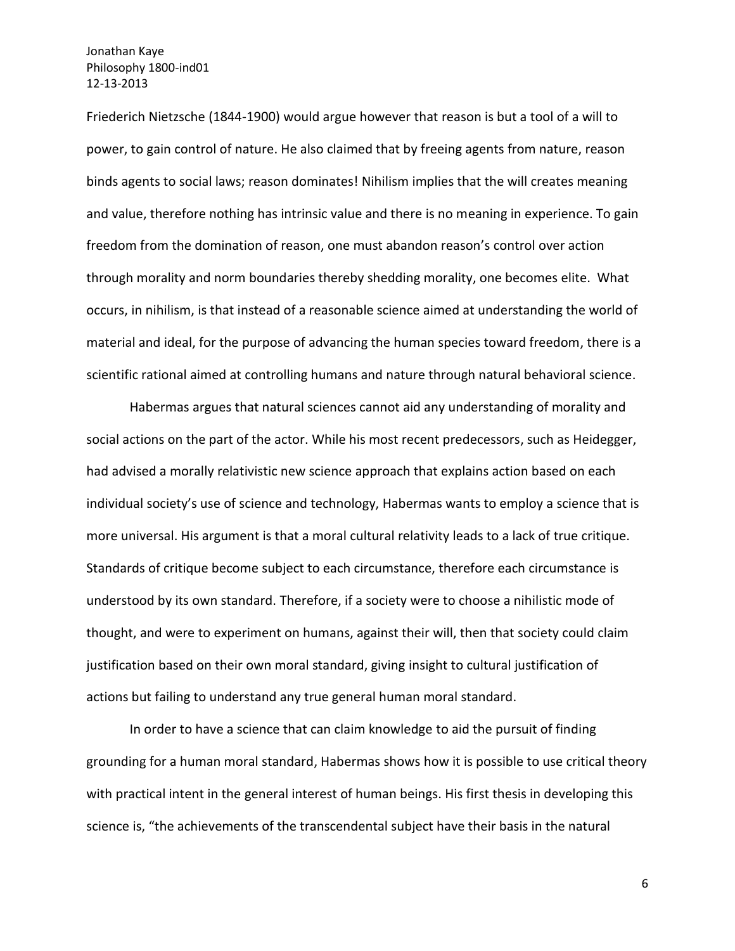Friederich Nietzsche (1844-1900) would argue however that reason is but a tool of a will to power, to gain control of nature. He also claimed that by freeing agents from nature, reason binds agents to social laws; reason dominates! Nihilism implies that the will creates meaning and value, therefore nothing has intrinsic value and there is no meaning in experience. To gain freedom from the domination of reason, one must abandon reason's control over action through morality and norm boundaries thereby shedding morality, one becomes elite. What occurs, in nihilism, is that instead of a reasonable science aimed at understanding the world of material and ideal, for the purpose of advancing the human species toward freedom, there is a scientific rational aimed at controlling humans and nature through natural behavioral science.

Habermas argues that natural sciences cannot aid any understanding of morality and social actions on the part of the actor. While his most recent predecessors, such as Heidegger, had advised a morally relativistic new science approach that explains action based on each individual society's use of science and technology, Habermas wants to employ a science that is more universal. His argument is that a moral cultural relativity leads to a lack of true critique. Standards of critique become subject to each circumstance, therefore each circumstance is understood by its own standard. Therefore, if a society were to choose a nihilistic mode of thought, and were to experiment on humans, against their will, then that society could claim justification based on their own moral standard, giving insight to cultural justification of actions but failing to understand any true general human moral standard.

In order to have a science that can claim knowledge to aid the pursuit of finding grounding for a human moral standard, Habermas shows how it is possible to use critical theory with practical intent in the general interest of human beings. His first thesis in developing this science is, "the achievements of the transcendental subject have their basis in the natural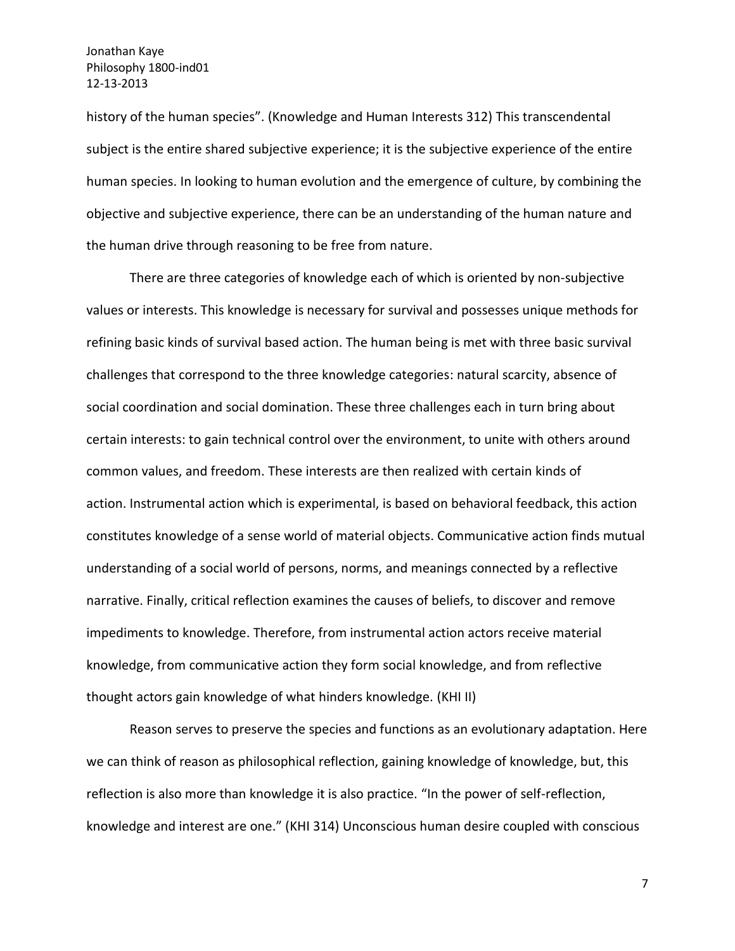history of the human species". (Knowledge and Human Interests 312) This transcendental subject is the entire shared subjective experience; it is the subjective experience of the entire human species. In looking to human evolution and the emergence of culture, by combining the objective and subjective experience, there can be an understanding of the human nature and the human drive through reasoning to be free from nature.

There are three categories of knowledge each of which is oriented by non-subjective values or interests. This knowledge is necessary for survival and possesses unique methods for refining basic kinds of survival based action. The human being is met with three basic survival challenges that correspond to the three knowledge categories: natural scarcity, absence of social coordination and social domination. These three challenges each in turn bring about certain interests: to gain technical control over the environment, to unite with others around common values, and freedom. These interests are then realized with certain kinds of action. Instrumental action which is experimental, is based on behavioral feedback, this action constitutes knowledge of a sense world of material objects. Communicative action finds mutual understanding of a social world of persons, norms, and meanings connected by a reflective narrative. Finally, critical reflection examines the causes of beliefs, to discover and remove impediments to knowledge. Therefore, from instrumental action actors receive material knowledge, from communicative action they form social knowledge, and from reflective thought actors gain knowledge of what hinders knowledge. (KHI II)

Reason serves to preserve the species and functions as an evolutionary adaptation. Here we can think of reason as philosophical reflection, gaining knowledge of knowledge, but, this reflection is also more than knowledge it is also practice. "In the power of self-reflection, knowledge and interest are one." (KHI 314) Unconscious human desire coupled with conscious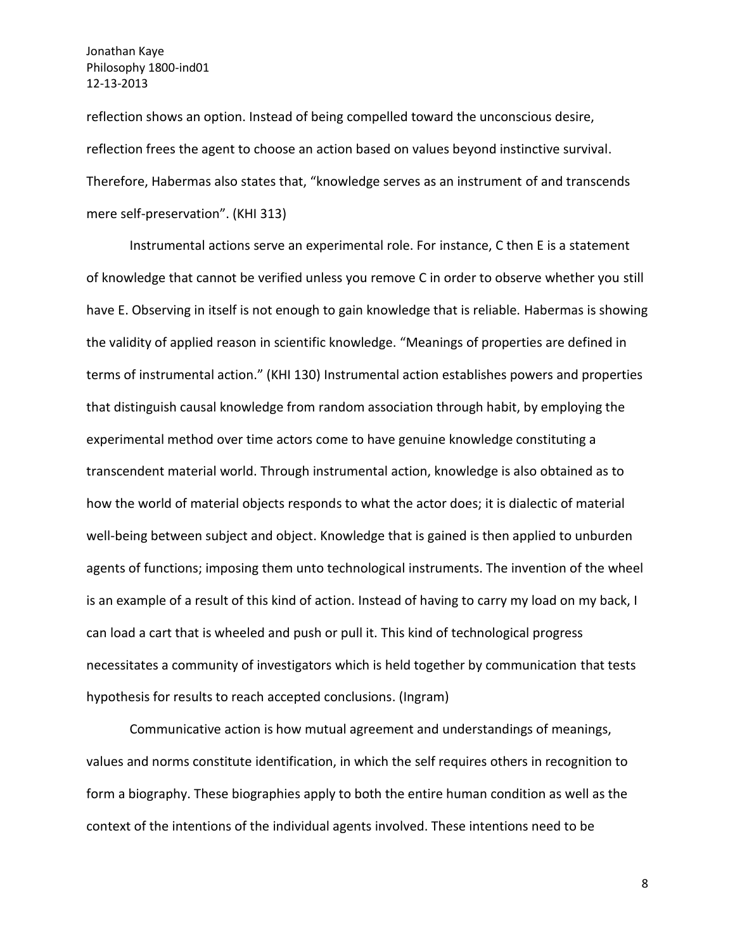reflection shows an option. Instead of being compelled toward the unconscious desire, reflection frees the agent to choose an action based on values beyond instinctive survival. Therefore, Habermas also states that, "knowledge serves as an instrument of and transcends mere self-preservation". (KHI 313)

Instrumental actions serve an experimental role. For instance, C then E is a statement of knowledge that cannot be verified unless you remove C in order to observe whether you still have E. Observing in itself is not enough to gain knowledge that is reliable. Habermas is showing the validity of applied reason in scientific knowledge. "Meanings of properties are defined in terms of instrumental action." (KHI 130) Instrumental action establishes powers and properties that distinguish causal knowledge from random association through habit, by employing the experimental method over time actors come to have genuine knowledge constituting a transcendent material world. Through instrumental action, knowledge is also obtained as to how the world of material objects responds to what the actor does; it is dialectic of material well-being between subject and object. Knowledge that is gained is then applied to unburden agents of functions; imposing them unto technological instruments. The invention of the wheel is an example of a result of this kind of action. Instead of having to carry my load on my back, I can load a cart that is wheeled and push or pull it. This kind of technological progress necessitates a community of investigators which is held together by communication that tests hypothesis for results to reach accepted conclusions. (Ingram)

Communicative action is how mutual agreement and understandings of meanings, values and norms constitute identification, in which the self requires others in recognition to form a biography. These biographies apply to both the entire human condition as well as the context of the intentions of the individual agents involved. These intentions need to be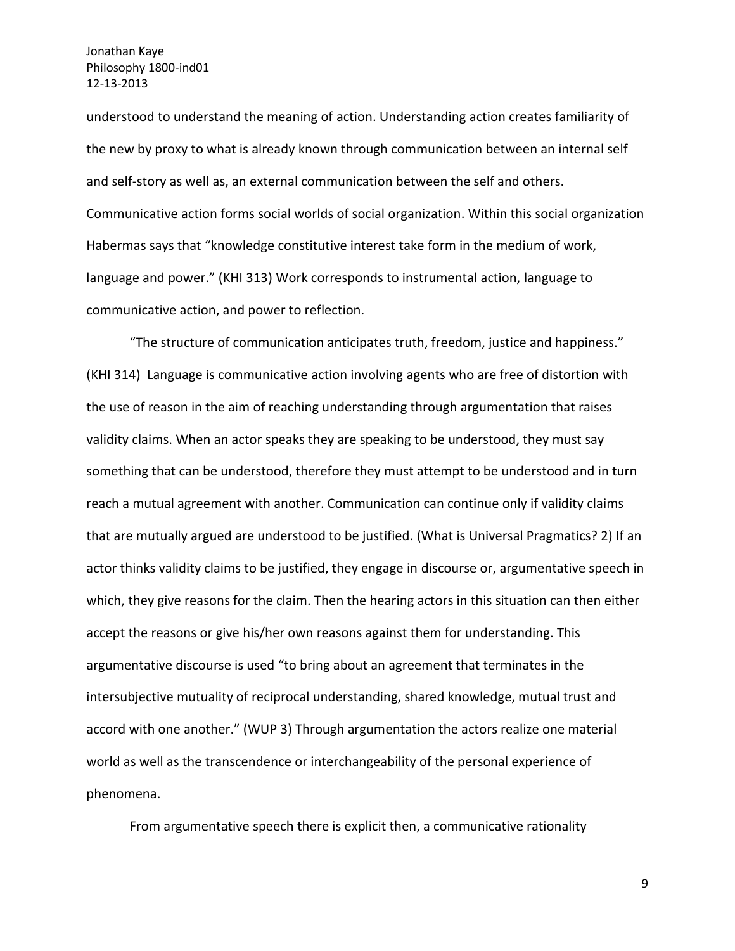understood to understand the meaning of action. Understanding action creates familiarity of the new by proxy to what is already known through communication between an internal self and self-story as well as, an external communication between the self and others. Communicative action forms social worlds of social organization. Within this social organization Habermas says that "knowledge constitutive interest take form in the medium of work, language and power." (KHI 313) Work corresponds to instrumental action, language to communicative action, and power to reflection.

"The structure of communication anticipates truth, freedom, justice and happiness." (KHI 314) Language is communicative action involving agents who are free of distortion with the use of reason in the aim of reaching understanding through argumentation that raises validity claims. When an actor speaks they are speaking to be understood, they must say something that can be understood, therefore they must attempt to be understood and in turn reach a mutual agreement with another. Communication can continue only if validity claims that are mutually argued are understood to be justified. (What is Universal Pragmatics? 2) If an actor thinks validity claims to be justified, they engage in discourse or, argumentative speech in which, they give reasons for the claim. Then the hearing actors in this situation can then either accept the reasons or give his/her own reasons against them for understanding. This argumentative discourse is used "to bring about an agreement that terminates in the intersubjective mutuality of reciprocal understanding, shared knowledge, mutual trust and accord with one another." (WUP 3) Through argumentation the actors realize one material world as well as the transcendence or interchangeability of the personal experience of phenomena.

From argumentative speech there is explicit then, a communicative rationality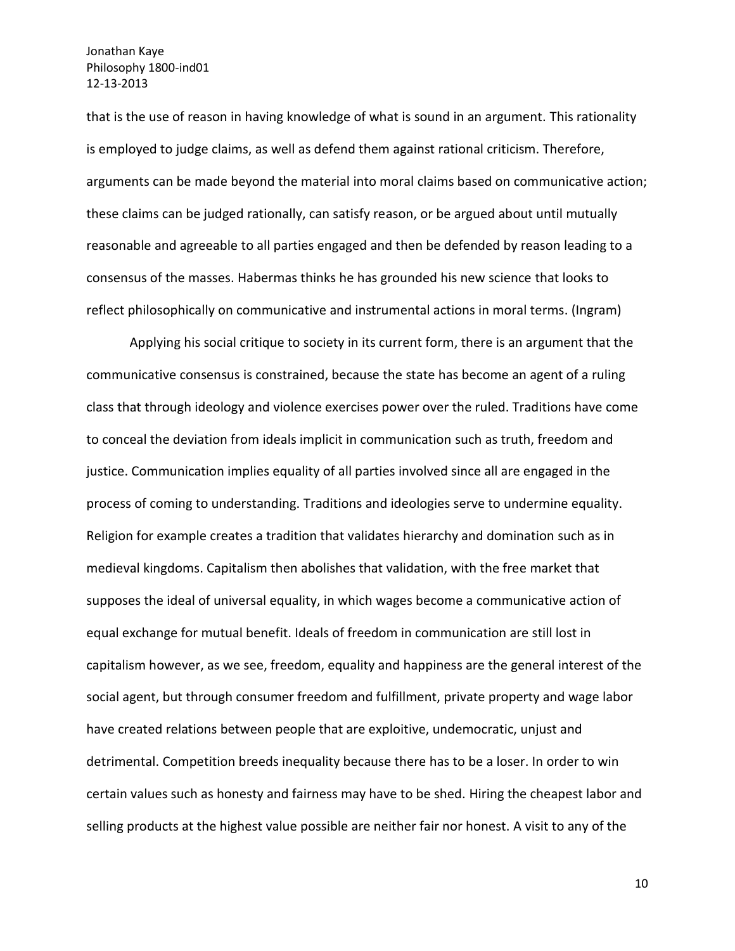that is the use of reason in having knowledge of what is sound in an argument. This rationality is employed to judge claims, as well as defend them against rational criticism. Therefore, arguments can be made beyond the material into moral claims based on communicative action; these claims can be judged rationally, can satisfy reason, or be argued about until mutually reasonable and agreeable to all parties engaged and then be defended by reason leading to a consensus of the masses. Habermas thinks he has grounded his new science that looks to reflect philosophically on communicative and instrumental actions in moral terms. (Ingram)

Applying his social critique to society in its current form, there is an argument that the communicative consensus is constrained, because the state has become an agent of a ruling class that through ideology and violence exercises power over the ruled. Traditions have come to conceal the deviation from ideals implicit in communication such as truth, freedom and justice. Communication implies equality of all parties involved since all are engaged in the process of coming to understanding. Traditions and ideologies serve to undermine equality. Religion for example creates a tradition that validates hierarchy and domination such as in medieval kingdoms. Capitalism then abolishes that validation, with the free market that supposes the ideal of universal equality, in which wages become a communicative action of equal exchange for mutual benefit. Ideals of freedom in communication are still lost in capitalism however, as we see, freedom, equality and happiness are the general interest of the social agent, but through consumer freedom and fulfillment, private property and wage labor have created relations between people that are exploitive, undemocratic, unjust and detrimental. Competition breeds inequality because there has to be a loser. In order to win certain values such as honesty and fairness may have to be shed. Hiring the cheapest labor and selling products at the highest value possible are neither fair nor honest. A visit to any of the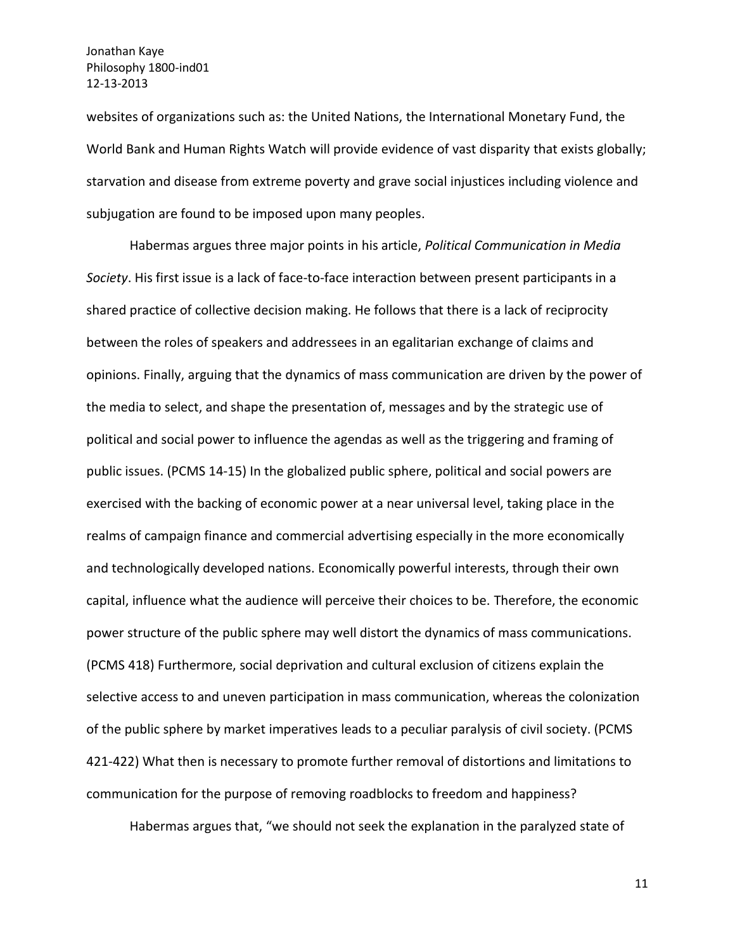websites of organizations such as: the United Nations, the International Monetary Fund, the World Bank and Human Rights Watch will provide evidence of vast disparity that exists globally; starvation and disease from extreme poverty and grave social injustices including violence and subjugation are found to be imposed upon many peoples.

Habermas argues three major points in his article, *Political Communication in Media Society*. His first issue is a lack of face-to-face interaction between present participants in a shared practice of collective decision making. He follows that there is a lack of reciprocity between the roles of speakers and addressees in an egalitarian exchange of claims and opinions. Finally, arguing that the dynamics of mass communication are driven by the power of the media to select, and shape the presentation of, messages and by the strategic use of political and social power to influence the agendas as well as the triggering and framing of public issues. (PCMS 14-15) In the globalized public sphere, political and social powers are exercised with the backing of economic power at a near universal level, taking place in the realms of campaign finance and commercial advertising especially in the more economically and technologically developed nations. Economically powerful interests, through their own capital, influence what the audience will perceive their choices to be. Therefore, the economic power structure of the public sphere may well distort the dynamics of mass communications. (PCMS 418) Furthermore, social deprivation and cultural exclusion of citizens explain the selective access to and uneven participation in mass communication, whereas the colonization of the public sphere by market imperatives leads to a peculiar paralysis of civil society. (PCMS 421-422) What then is necessary to promote further removal of distortions and limitations to communication for the purpose of removing roadblocks to freedom and happiness?

Habermas argues that, "we should not seek the explanation in the paralyzed state of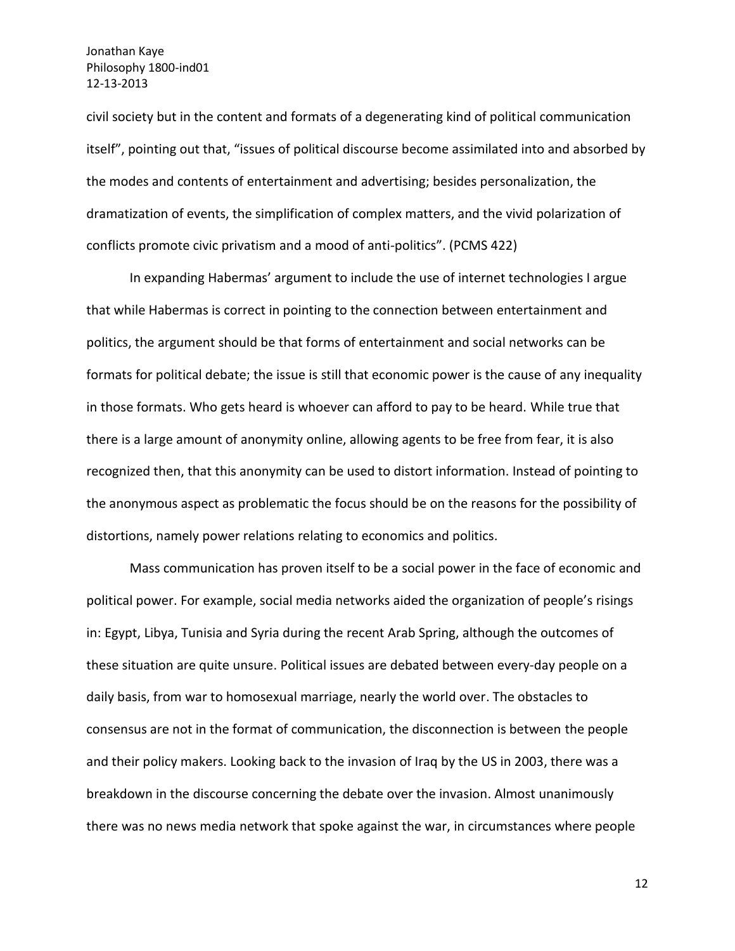civil society but in the content and formats of a degenerating kind of political communication itself", pointing out that, "issues of political discourse become assimilated into and absorbed by the modes and contents of entertainment and advertising; besides personalization, the dramatization of events, the simplification of complex matters, and the vivid polarization of conflicts promote civic privatism and a mood of anti-politics". (PCMS 422)

In expanding Habermas' argument to include the use of internet technologies I argue that while Habermas is correct in pointing to the connection between entertainment and politics, the argument should be that forms of entertainment and social networks can be formats for political debate; the issue is still that economic power is the cause of any inequality in those formats. Who gets heard is whoever can afford to pay to be heard. While true that there is a large amount of anonymity online, allowing agents to be free from fear, it is also recognized then, that this anonymity can be used to distort information. Instead of pointing to the anonymous aspect as problematic the focus should be on the reasons for the possibility of distortions, namely power relations relating to economics and politics.

Mass communication has proven itself to be a social power in the face of economic and political power. For example, social media networks aided the organization of people's risings in: Egypt, Libya, Tunisia and Syria during the recent Arab Spring, although the outcomes of these situation are quite unsure. Political issues are debated between every-day people on a daily basis, from war to homosexual marriage, nearly the world over. The obstacles to consensus are not in the format of communication, the disconnection is between the people and their policy makers. Looking back to the invasion of Iraq by the US in 2003, there was a breakdown in the discourse concerning the debate over the invasion. Almost unanimously there was no news media network that spoke against the war, in circumstances where people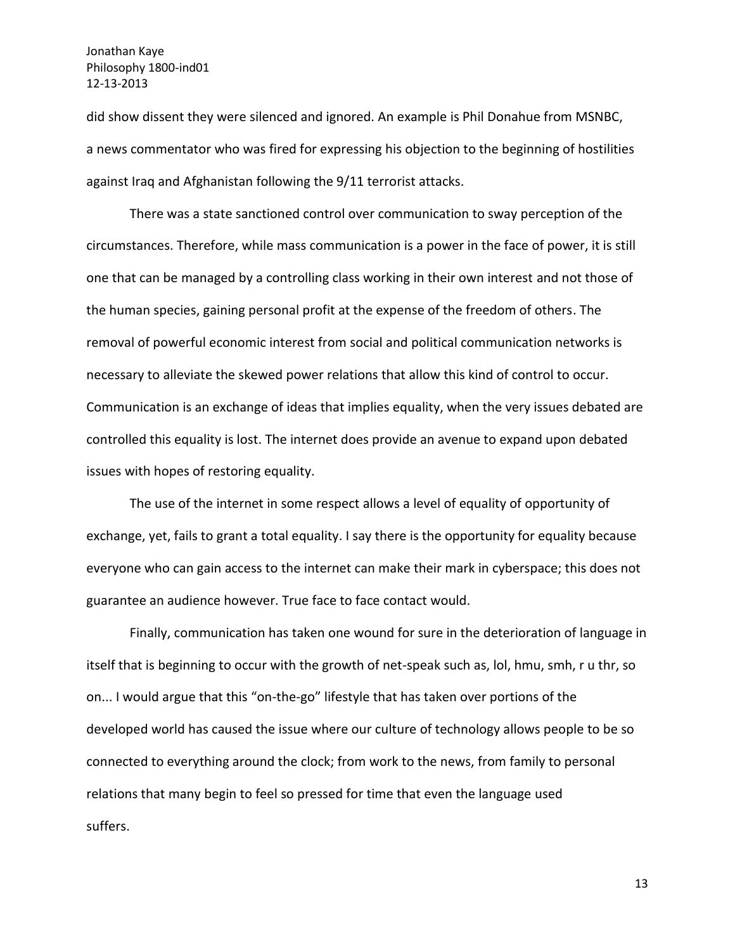did show dissent they were silenced and ignored. An example is Phil Donahue from MSNBC, a news commentator who was fired for expressing his objection to the beginning of hostilities against Iraq and Afghanistan following the 9/11 terrorist attacks.

There was a state sanctioned control over communication to sway perception of the circumstances. Therefore, while mass communication is a power in the face of power, it is still one that can be managed by a controlling class working in their own interest and not those of the human species, gaining personal profit at the expense of the freedom of others. The removal of powerful economic interest from social and political communication networks is necessary to alleviate the skewed power relations that allow this kind of control to occur. Communication is an exchange of ideas that implies equality, when the very issues debated are controlled this equality is lost. The internet does provide an avenue to expand upon debated issues with hopes of restoring equality.

The use of the internet in some respect allows a level of equality of opportunity of exchange, yet, fails to grant a total equality. I say there is the opportunity for equality because everyone who can gain access to the internet can make their mark in cyberspace; this does not guarantee an audience however. True face to face contact would.

Finally, communication has taken one wound for sure in the deterioration of language in itself that is beginning to occur with the growth of net-speak such as, lol, hmu, smh, r u thr, so on... I would argue that this "on-the-go" lifestyle that has taken over portions of the developed world has caused the issue where our culture of technology allows people to be so connected to everything around the clock; from work to the news, from family to personal relations that many begin to feel so pressed for time that even the language used suffers.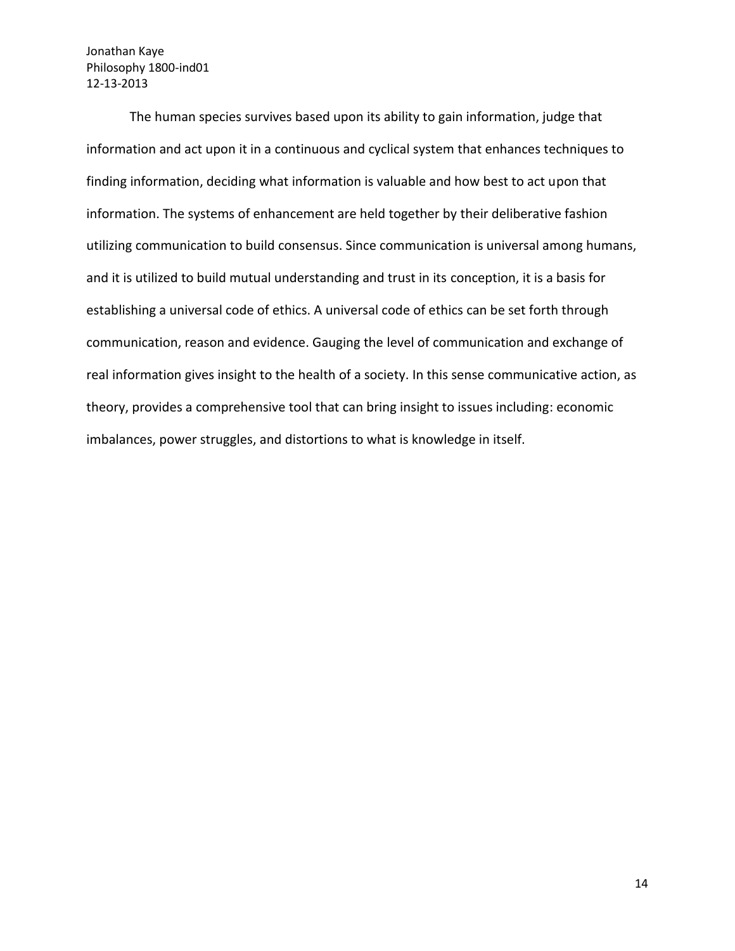The human species survives based upon its ability to gain information, judge that information and act upon it in a continuous and cyclical system that enhances techniques to finding information, deciding what information is valuable and how best to act upon that information. The systems of enhancement are held together by their deliberative fashion utilizing communication to build consensus. Since communication is universal among humans, and it is utilized to build mutual understanding and trust in its conception, it is a basis for establishing a universal code of ethics. A universal code of ethics can be set forth through communication, reason and evidence. Gauging the level of communication and exchange of real information gives insight to the health of a society. In this sense communicative action, as theory, provides a comprehensive tool that can bring insight to issues including: economic imbalances, power struggles, and distortions to what is knowledge in itself.